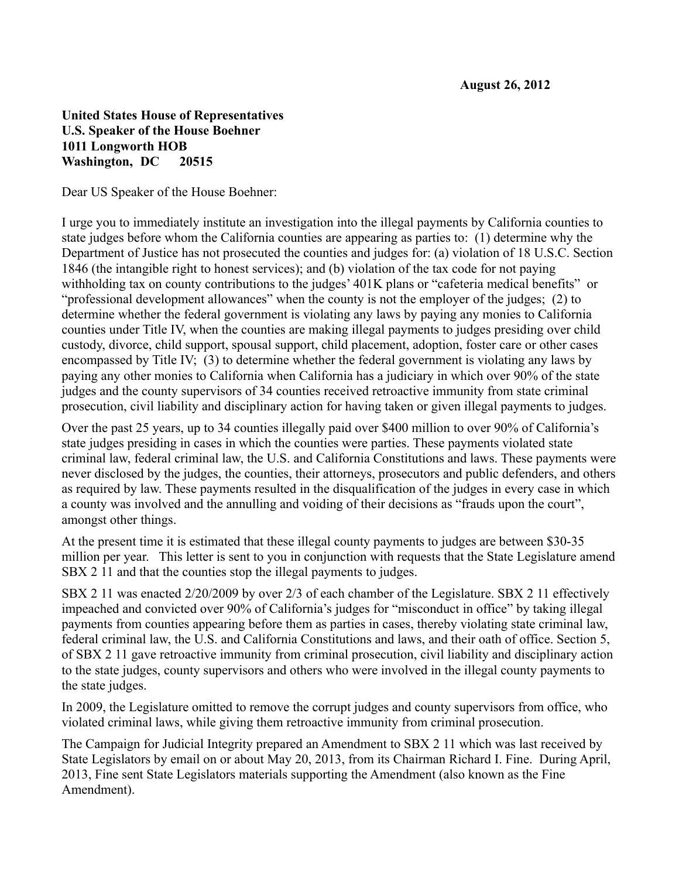## **United States House of Representatives U.S. Speaker of the House Boehner 1011 Longworth HOB Washington, DC 20515**

Dear US Speaker of the House Boehner:

I urge you to immediately institute an investigation into the illegal payments by California counties to state judges before whom the California counties are appearing as parties to: (1) determine why the Department of Justice has not prosecuted the counties and judges for: (a) violation of 18 U.S.C. Section 1846 (the intangible right to honest services); and (b) violation of the tax code for not paying withholding tax on county contributions to the judges' 401K plans or "cafeteria medical benefits" or "professional development allowances" when the county is not the employer of the judges; (2) to determine whether the federal government is violating any laws by paying any monies to California counties under Title IV, when the counties are making illegal payments to judges presiding over child custody, divorce, child support, spousal support, child placement, adoption, foster care or other cases encompassed by Title IV; (3) to determine whether the federal government is violating any laws by paying any other monies to California when California has a judiciary in which over 90% of the state judges and the county supervisors of 34 counties received retroactive immunity from state criminal prosecution, civil liability and disciplinary action for having taken or given illegal payments to judges.

Over the past 25 years, up to 34 counties illegally paid over \$400 million to over 90% of California's state judges presiding in cases in which the counties were parties. These payments violated state criminal law, federal criminal law, the U.S. and California Constitutions and laws. These payments were never disclosed by the judges, the counties, their attorneys, prosecutors and public defenders, and others as required by law. These payments resulted in the disqualification of the judges in every case in which a county was involved and the annulling and voiding of their decisions as "frauds upon the court", amongst other things.

At the present time it is estimated that these illegal county payments to judges are between \$30-35 million per year. This letter is sent to you in conjunction with requests that the State Legislature amend SBX 2 11 and that the counties stop the illegal payments to judges.

SBX 2 11 was enacted 2/20/2009 by over 2/3 of each chamber of the Legislature. SBX 2 11 effectively impeached and convicted over 90% of California's judges for "misconduct in office" by taking illegal payments from counties appearing before them as parties in cases, thereby violating state criminal law, federal criminal law, the U.S. and California Constitutions and laws, and their oath of office. Section 5, of SBX 2 11 gave retroactive immunity from criminal prosecution, civil liability and disciplinary action to the state judges, county supervisors and others who were involved in the illegal county payments to the state judges.

In 2009, the Legislature omitted to remove the corrupt judges and county supervisors from office, who violated criminal laws, while giving them retroactive immunity from criminal prosecution.

The Campaign for Judicial Integrity prepared an Amendment to SBX 2 11 which was last received by State Legislators by email on or about May 20, 2013, from its Chairman Richard I. Fine. During April, 2013, Fine sent State Legislators materials supporting the Amendment (also known as the Fine Amendment).